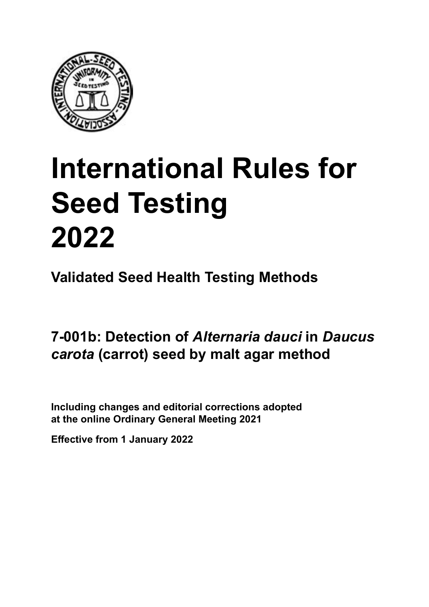

# **International Rules for Seed Testing von Saatgut 2022 2022 Semences 2022 International Rules for Seed Testing 2022**

**Métodos Validados para Análisis de Sanidad de Semillas Validate Méthodes Validées pour Analyse Sanitaire des Semences Validated Seed Health Testing Methods**

**7-001b: Detección de** *Alternaria dauci* **en semillas Malz-Agar-Methode für den Nachweis von Méthode sur malt agar pour la détection de** *Daucus carota* **(zanahoria) por el método de agar malta** *Alternaria dauci* **an Samen von** *Daucus carota* **(Möhre)** *d'* **d'** *d'alternaria de l'alternaria* dauc<sup>h</sup> in Baucus<br>*carota (carrot*) sood by malt agar mothod **(carotte) 7-001b: Detection of** *Alternaria dauci* **in** *Daucus carota* **(carrot) seed by malt agar method**

Including changes and editorial corrections adopted at the online Ordinary General Meeting 2021

**Effective from 1 January 2022**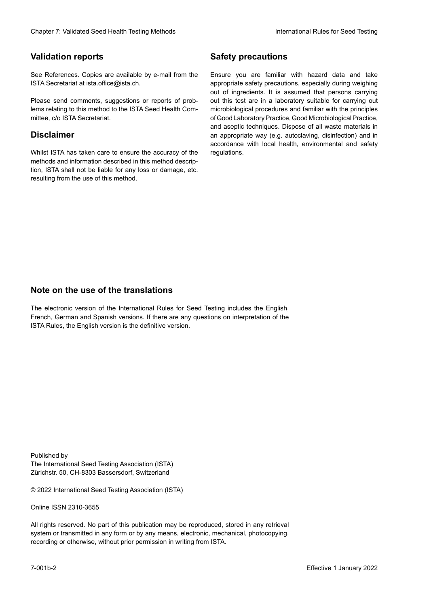#### **Validation reports**

See References. Copies are available by e-mail from the<br>ISTA Secretariat at ista.office@ista.ch. ISTA Secretariat at ista.office@ista.ch.

lems relating to this method to the ISTA Seed Health Com-<br>mittee, c/o ISTA Secretariat. mittee, c/o ISTA Secretariat.<br>i Please send comments, suggestions or reports of prob-

### **Limitation de responsabilité Disclaimer**

Whilst ISTA has taken care to ensure the accuracy of the<br>methods and information described in this method description, ISTA shall not be liable for any loss or damage, etc.<br>resulting from the use of this method.<br>. resulting from the use of this method. Whilst ISTA has taken care to ensure the accuracy of the methods and information described in this method descrip-<br>tion, ISTA shall not be liable for any loss or damage, etc. tion, ISTA shall not be liable for any loss or damage, etc.<br>resulting from the use of this method.

### **Medidas de seguridad Sicherheitsmaßnahmen Sécurité Safety precautions**

Ensure you are familiar with hazard data and take Ensure you are familiar with hazard data and take<br>appropriate safety precautions, especially during weighing out of ingredients. It is assumed that persons carrying out this test are in a laboratory suitable for carrying out microbiological procedures and familiar with the principles of Good Laboratory Practice, Good Microbiological Practice, and aseptic techniques. Dispose of all waste materials in an appropriate way (e.g. autoclaving, disinfection) and in accordance with local health, environmental and safety regulations. Glade 7: Validated Deed Health Testing holesdos<br>
Gallet Corresponds<br>
Validation responds we are stated as the company of the system of the New York of the Saat guide of the New York Corresponds were also the Corresponds of microbiological procedures and familiar with the principles<br>of Good Laboratory Practice, Good Microbiological Practice,<br>and aseptic techniques. Dispose of all waste materials in<br>an appropriate way (e.g. autoclaving, disinf fallstoffe sind auf geeignete Weise und entsprechend der vor Ort über der vor Ort über und Umwelt- und Umwelt-<br>Eine und Umwelt-Effective Counter of Nicolastic Counter of Nicolastic Counter of Nicolastic Counter of Nicolastic Counter Méthodes validations of the Counter Méthodes validations of the Counter of Nicolastic Counter Méthodes validations o of Good Laboratory Practice, Good Microbiological Practice,<br>and aseptic techniques. Dispose of all waste materials in<br>an appropriate way (e.g. autoclaving, disinfection) and in Validation reports<br>
Since The Texture 1988 and the system of the Since Theorem and the Since Theorem and the system of the Since The Since The Since The Since The Since The Since The Since The Since The Since The Since The Ensure you are familiar with hazard data and take<br>appropriate safety precautions, especially during weighing<br>out of ingredients. It is assumed that persons carrying<br>out this test are in a laboratory suitable for carrying o

### **Nota sobre el uso de traducciones Anmerkung zur Benutzung der Übersetzungen Note on the use of the translations**

The electronic version of the International Rules for Seed Testing includes the English, French, German and Spanish versions. If there are any questions on interpretation of the ISTA Rules, the English version is the definitive version. The electronic version of the International Rules for Seed Testing includes the English,<br>French, German and Spanish versions. If there are any questions on interpretation of the<br>ISTA Rules, the English version is the defin The electronic version of the International Rules for Seed Testing includes the English,<br>French, German and Spanish versions. If there are any questions on interpretation of the

Published by **Extending Association (ISTA)** The International Seed Testing Association (ISTA) Zürichstr. 50, CH-8303 Bassersdorf, Switzerland

© 2022 International Seed Testing Association (ISTA)

Alle Rechte vorbehalten. Kein Teil dieses Werkes darf in irgendwelcher Form oder durch Online ISSN 2310-3655

All rights reserved. No part of this publication may be reproduced, stored in any retrieval All rights reserved. No part of this publication may be reproduced, stored in any retrieval<br>system or transmitted in any form or by any means, electronic, mechanical, photocopying,<br>recording or otherwise, without prior per recording or otherwise, without prior permis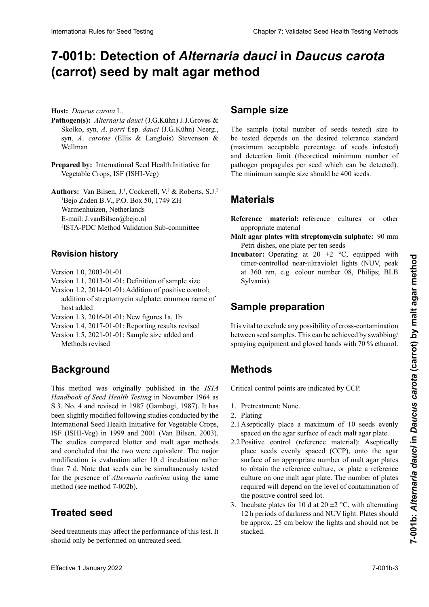# 7-001b: Detection of *Alternaria dauci* in *Daucus carota* (carrot) seed by malt agar method

**Host:** *Daucus carota* L.

- Pathogen(s): Alternaria dauci (J.G.Kühn) J.J.Groves & Skolko, syn. A. porri f.sp. dauci (J.G.Kühn) Neerg., syn. A. carotae (Ellis & Langlois) Stevenson & wellman
- Prepared by: International Seed Health Initiative for Vegetable Crops, ISF (ISHI-Veg)  $V$ egetable Crops, ISF (ISHI-Veg)

**Authors:** Van Bilsen, J.<sup>1</sup>, Cockerell, V.<sup>2</sup> & Roberts, S.J.<sup>2</sup> Bejo. Zaden B. v., 1.0. Box.<br>Warmenhuizen, Netherlands warmennurzen, ivetnerianus<br>E-mail: J.vanBilsen@bejo.nl  $E$ -mail: J. vandisen $\omega$ dejo.ni **Autoren:** Van Bilsen, J.1, Cockerell, V.2 & Roberts, S. J.2  $B_{\text{H}}$ ,  $B_{\text{H}}$ ,  $B_{\text{H}}$ ,  $B_{\text{H}}$ ,  $B_{\text{H}}$ ,  $B_{\text{H}}$ ,  $B_{\text{H}}$ ,  $B_{\text{H}}$ ,  $B_{\text{H}}$ ,  $B_{\text{H}}$ ,  $B_{\text{H}}$ ,  $B_{\text{H}}$ ,  $B_{\text{H}}$ ,  $B_{\text{H}}$ ,  $B_{\text{H}}$ ,  $B_{\text{H}}$ ,  $B_{\text{H}}$ ,  $B_{\text{H}}$ ,  $B_{\text{H}}$ ,  $B_{\text{H}}$ , Authors: Van Bilsen, J.<sup>1</sup>, Cockerell, V.<sup>2</sup> & Roberts, S.J.<sup>2</sup>  ${}^{1}$ Bejo Zaden B.V., P.O. Box 50, 1749 ZH <sup>2</sup>ISTA-PDC Method Validation Sub-committee

#### **Historial de revisiones Revisionsstand** l'ISTA-PDC **Revision history**

- Version 1.0,  $2003-01-01$ Version 1.0, 2003-01-01
- Version 1.1, 2013-01-01: Definition of sample size
- Version 1.2, 2014-01-01: Addition of positive control; addition of streptomycin sulphate; common name of host added host and host and host and host and host and host and host and host and host and host and host and host and host and host and host and host and host and host and host and host and host and host and host and host
- Version 1.3, 2016-01-01: New figures 1a, 1b
- Version 1.4, 2017-01-01: Reporting results revised
- Version 1.5, 2021-01-01: Sample size added and Methods revised

#### **Background** lon » ; « Méthodes » révisé

This method was originally published in the *ISTA* Handbook of Seed Health Testing in November 1964 as S.3. No. 4 and revised in 1987 (Gambogi, 1987). It has<br>been slightly modified following studies conducted by the been slightly modified following studies conducted by the International Seed Health Initiative for Vegetable Crops, ISF (ISHI-Veg) in 1999 and 2001 (Van Bilsen. 2003).<br>The studies compared blotter and malt agent methods. 1991 und 2001 (Van Bilsen, 2003).<br>The studies compared blotter and malt agar methods and agarbed that the two were against the weight and concluded that the two were equivalent. The major modification is evaluation after 10 d incubation rather  $d = 7.1$  M  $d = 1$  día  $d = 1$  día  $d = 1$  día  $d = 1$  $\frac{1}{2}$  d. Foll that secus can be simultaneously tested for the presence of *Alternaria radicina* using the same method (see method 7-002b). than 7 d. Note that seeds can be simultaneously tested<br>for the presence of *Alternaria radicina* using the same International Rules International Rules for Seed Testing Control Control Control Control Control Control Control Control Control Control Control Control Control Control Control Control Control Control Control Control Cont

#### **Semilla realished** être simultanément testées pour la présence d'*Alternaria radicina* avec la même méthode (voir méthode 7-002a). **Treated seed**

Seed treatments may affect the performance of this test. It should only be performed on untreated seed.

# **Tamaño de la muestra Behandeltes (gebeiztes) Saatgut Sample size**

The sample (total number of seeds tested) size to be tested depends on the desired tolerance standard (maximum acceptable percentage of seeds infested) the detection limit (theoretical minimum number of and decoded mini- (increased minimum nameer of pathogen propagules per seed which can be detected). parrogen propagares per seca which can be accessed. semillas. pathogen propaguies per seed which can be only propaguite the seed which can be only the minimum sample size should be 400 seeds.

#### **Materiales** prüften Samen) hängt von der gewünschten Toleranznorm **Materials**  $m$ aximal akzeptabler  $P$  $\overline{\phantom{a}}$

**Reference inaterial:** reference cultures or other appropriate material  $\mathbf{D}_1$ und der Nachweisgreize (theoretische Mindester (theoretische Mindestrum) **Keierence Inaterial:** reference cultures or other den können) aber den können von den können aber den können von den sollte 400 Sa- $\mathbf{r}$  dépend de la tester dépend désirée désirée désirée désirée désirée désirée désirée désirée désirée désirée d **Reference material:** reference cultures or other de la limite de détection de la limite de détection de la limite de la limite de la limite de la limite de la

- **Place agar plates with streptomycin sulphate:** 90 mm Petri dishes, one plate per ten seeds mait agar pl **Malt agar plates with streptomycin sulphate:** 90 mm
- **Incubator:** Operating at 20  $\pm$ 2 °C, equipped with timer-controlled near-ultraviolet lights (NUV, peak at 360 nm, e.g. colour number 08, Philips; BLB Sylvania).

#### **Sample preparation Malzextrakt-Platten mit Streptomycinsulfat:** 90 mm

It is vital to exclude any possibility of cross-contamination between seed samples. This can be achieved by swabbing/ spraying equipment and gloved hands with 70 % ethanol.

#### **Métodos Methods**

Los puntos críticos de control se indican como PCC. Critical control points are indicated by CCP. nur gereinigte Gerätschaften zu verwenden und Hand-

- 1. Pretreatment: None.
- 2. Plating
- 2.1 Aseptically place a maximum of 10 seeds evenly spaced on the agar surface of each malt agar plate.
- spaced on the agar surface of each mail agar plate.<br>2.2 Positive control (reference material): Aseptically place seeds evenly spaced (CCP), onto the agar place seeds evenly spaced (CCP), onto the agar<br>surface of an appropriate number of malt agar plates surface of an appropriate number of mail agai plates<br>to obtain the reference culture, or plate a reference to obtain the reference culture, or place a reference superficient del agar place. The número de places required will depend on the level of contamination of the positive control seed lot. to botain the reference  $\frac{2.001}{2.001}$ co colam the reference culture, or plate a reference culture on one malt agar plate. The number of plates
- 3. Incubate plates for 10 d at  $20 \pm 2$  °C, with alternating 12 h periods of darkness and NUV light. Plates should 5. Include plates for 10 d at  $20 \pm 2$  °C, with alternating<br>12 h periods of darkness and NUV light. Plates should<br>be approx. 25 cm below the lights and should not be stacked. Petrischalen mit Malz-Agar verteilen, um eine Referenchen mit Malz-Agar verteilen, um eine Referenchen Referen stacked.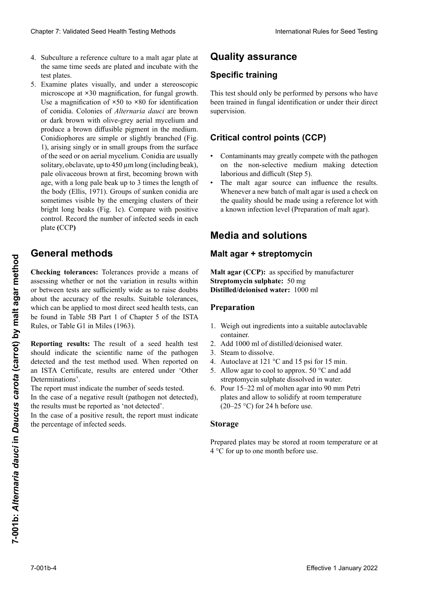- 4. Subculture a reference culture to a malt agar plate at the same time seeds are plated and incubate with the the same time seeds are plated and incubate with the test plates. test plates.<br>Examine plates visually, and under a stereoscopic
- microscope at **×**30 magnification, for fungal growth. Use a magnification of ×50 to ×80 for identification<br>of conidia. Colonies of *Alternaria dauci* are brown<br>or dark brown with olive-grey aerial mycelium and of conidia. Colonies of *Alternaria dauci* are brown or dark brown with olive-grey aerial mycelium and produce a brown diffusible pigment in the medium.<br>Conidionhores are simple or slightly branched (Fig. *d*<br>Conidiophores are simple or slightly branched (Fig. 1), arising singly or in small groups from the surface<br>of the seed or on gerial mycelium. Conidia are usually  $\frac{1}{2}$  of the seed or on aerial mycelium. Conidia are usually solitory obelever unto  $450$  um long (including back) solitary, obclavate, up to  $450 \mu m$  long (including beak), pale olivaceous brown at first, becoming brown with pale olivaceous brown at first, becoming brown with pare onvaced between at mst, becoming of the with viar age, with a long pale beak up to 3 times the length of age, with a long pare oear ap to 3 times are length of the body (Ellis, 1971). Groups of sunken conidia are  $y$  pueden medir has the media of the largo  $\frac{1}{2}$  and  $\frac{1}{2}$  and  $\frac{1}{2}$  and  $\frac{1}{2}$  and  $\frac{1}{2}$  and  $\frac{1}{2}$  and  $\frac{1}{2}$  and  $\frac{1}{2}$  and  $\frac{1}{2}$  and  $\frac{1}{2}$  and  $\frac{1}{2}$  and  $\frac{1}{2}$  and  $\frac{1}{2}$ sometimes visione by the emerging clusters of their  $t$ origin tong beaks (Fig. 1c). Compare with positive control. Record the number of infected seeds in each  $\frac{1}{2}$ del cuerpo (Ellis, 1971). Algunas veces, grupos de plate **(**CCP**)** Current 2. Validated Peeti Festival Festival Delaw Business Controllers and Controllers and the state of Controllers and Controllers and Controllers and Controllers and Controllers and Controllers and Controllers and Cont  $\frac{1}{2}$ bomentes vision by the emerging clusters of their bright long beaks (Fig. 10). Compare with positive origin folig beaks (Fig. 1c). Compare with positive<br>control. Record the number of infected seeds in each plate (CCP).  $\frac{d}{dt}$ Cheaper 7 Voltained Senet Health Toring that outer is easily the three formula in the spin of the spin of the spin of the spin of the spin of the spin of the spin of the spin of the spin of the spin of the spin of the spi 5. Examine plates visually, and under a stereoscopic microscope at  $\times 30$  magnification, for fungal growth. <sup>1</sup>0 pour la croissance du mychine du mychine du mychine du mychine du mychine du mychine du mychine du mychine du<br>1990 pour la croissance du mychine du mychine du mychine du mychine du mychine du mychine du mychine du myc sometimes visible by the emerging clusters of their piate (CCP) bright long beaks (Fig. 1c). Compare with positive

# emergentes de sus puntas largas y brillantes (Fig. 1c). **General methods**

or between tests are sufficiently wide as to raise doubts which can be applied to most direct seed health tests, can be found in Table 5B Part 1 of Chapter 5 of the ISTA<br>Rules, or Table G1 in Miles (1963). Rules, or Table G1 in Miles (1963). Checking tolerances: Tolerances provide a means of assessing whether or not the variation in results within or between tests are sufficiently wide as to raise doubts<br>about the accuracy of the results. Suitable tolerances, **Effective 1** January 2022<br> **Effective 1 January 2022**<br> **Effective 1 January 2022**<br> **Effective 1 January 2022**<br> **Exception 2022**<br> **Exception 2022**<br> **Exception 2022**<br> **Exception 2022**<br> **Exception 2022**<br> **Exception 2022**<br>

Reporting results: The result of a seed health test should indicate the scientific name of the pathogen detected and the test method used. When reported on an ISTA Certificate, results are entered under 'Other Determinations'.

The report must indicate the number of seeds tested.

In the case of a negative result (pathogen not detected), the results must be reported as 'not detected'.

In the case of a positive result, the report must indicate  $\frac{1}{1}$  infected seeds san <sub>p</sub>rocessing determines on a **Berichters** interfected seeds the percentage of infected seeds. du Chapitre 5 des Règles ISTA, ou dans la Tableau G1 du Miles (1963).

## **Quality assurance**

### **Entrenamiento específico Spezifische Ausbildung Formation spécifique Specific training**

This test should only be performed by persons who have<br>been trained in fungal identification or under their direct been trained in fungal identification or under their direct supervision. son erfolgen, die die entsprechenden Kenntnisse besitzt.

#### **Pullet Control points (CCP) Kritische Kontrollponkte** (KKP) **Critical control points (CCP)**

- Contaminants may greatly compete with the pathogen on the non-selective medium making detection laborious and difficult (Step 5).
- The malt agar source can influence the results. In the malt agar-source can immedie the results.<br>Whenever a new batch of malt agar is used a check on where ver a new batch of malt agar is used a check off  $\frac{1}{2}$  un quanty should be made using a reference for while a known infection level (Preparation of malt agar). whenever a new batch of mantagar is used a check on<br>the quality should be made using a reference lot with

# **Media and solutions**

#### malt agar + streptomycin **Melienen Lotuentenarrein Malt agar + streptomycine Malt agar + streptomycin**

**Malt agar (CCP):** as specified by manufacturer **Streptomycin sulphate:** 50 mg **Distilled/deionised water:** 1000 ml **Malz-Agar + Streptomycin Malt agar (CCP):** as specified by manufacturer

#### **Preparation**

- 1. Weigh out ingredients into a suitable autoclavable 1. Peser les ingrédients dans un récipient autoclavable de la container.
- 2. Add 1000 ml of distilled/deionised water.
- 3. Steam to dissolve.
- 4. Autoclave at 121 °C and 15 psi for 15 min.
- 5. Allow agar to cool to approx.  $50^{\circ}$ C and add streptomycin sulphate dissolved in water.
- 6. Pour 15–22 ml of molten agar into 90 mm Petri plates and allow to solidify at room temperature  $(20-25 \text{ °C})$  for 24 h before use. de 90 mm y dejar solidificar a temperatura ambiente ser gelöstes Streptomycinsulfat hinzufügen.  $\alpha$  and  $\alpha$  is the contract utilisation.

#### **Storage** len füllen und vor der Verwendung bei Raumtempera-

*A* **Property Property** Prepared plates may be stored at room temperature or at 4 °C for up to one month before use.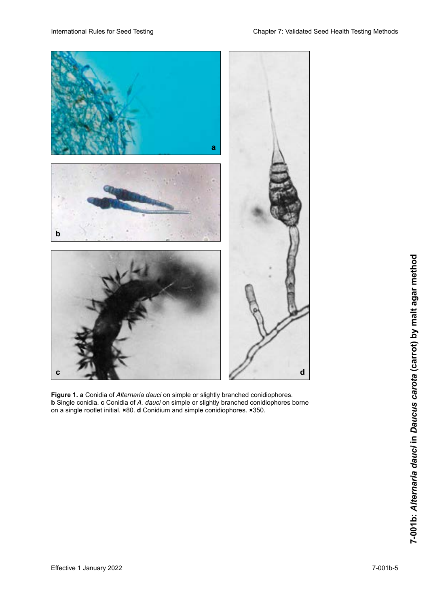

**Figure 1. a** Conidia of *Alternaria dauci* on simple or slightly branched conidiophores. **b** Single conidia. **c** Conidia of *A. dauci* on simple or slightly branched conidiophores borne on a single rootlet initial. ×80. **d** Conidium and simple conidiophores. ×350. **Figure 1. a** Conidia of *Alternaria dauci* on simple or slightly branched conidiophores. **b** Single conidia. **c** Conidia of *A. dauci* on simple or slightly branched conidiophores bori **Figure 1. a** Conidia of *Alternaria dauci* on simple or slightly branched conidiophores. **b** Single conidia. **c** Conidia of *A. dauci* on simple or slightly branched conidiophores bori Conidia of *Alternaria dauci* on simple or slightly branched conidiophores. **b** Single conidia. **c** Conidia of *A. dauci* on simple or slightly branched conidiophores borne